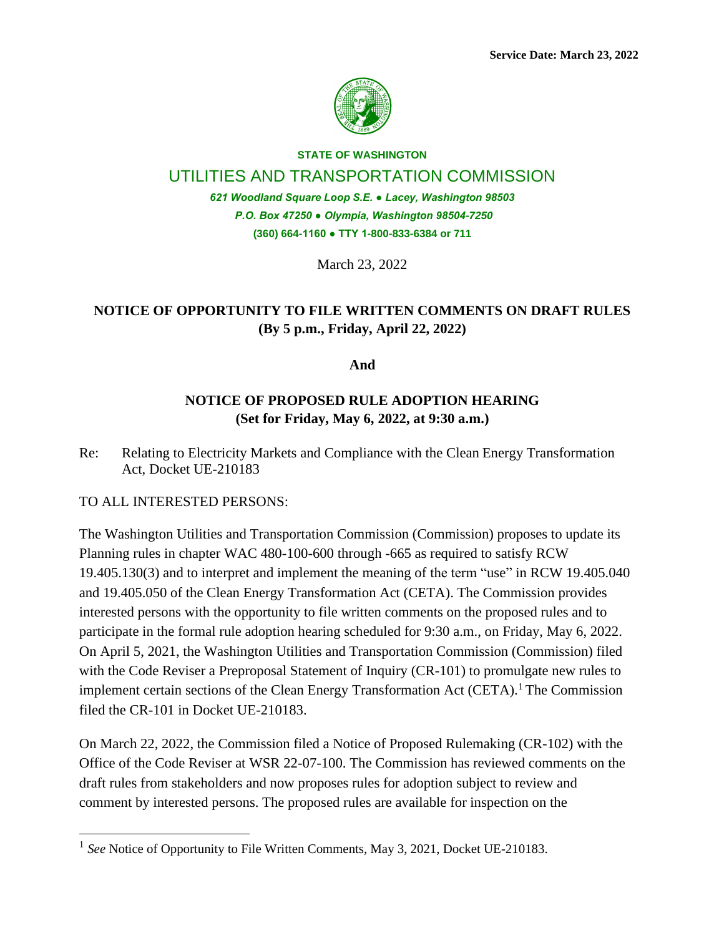

**STATE OF WASHINGTON**

### UTILITIES AND TRANSPORTATION COMMISSION

*621 Woodland Square Loop S.E. ● Lacey, Washington 98503 P.O. Box 47250 ● Olympia, Washington 98504-7250* **(360) 664-1160 ● TTY 1-800-833-6384 or 711**

March 23, 2022

## **NOTICE OF OPPORTUNITY TO FILE WRITTEN COMMENTS ON DRAFT RULES (By 5 p.m., Friday, April 22, 2022)**

**And**

### **NOTICE OF PROPOSED RULE ADOPTION HEARING (Set for Friday, May 6, 2022, at 9:30 a.m.)**

Re: Relating to Electricity Markets and Compliance with the Clean Energy Transformation Act, Docket UE-210183

TO ALL INTERESTED PERSONS:

The Washington Utilities and Transportation Commission (Commission) proposes to update its Planning rules in chapter WAC 480-100-600 through -665 as required to satisfy RCW 19.405.130(3) and to interpret and implement the meaning of the term "use" in RCW 19.405.040 and 19.405.050 of the Clean Energy Transformation Act (CETA). The Commission provides interested persons with the opportunity to file written comments on the proposed rules and to participate in the formal rule adoption hearing scheduled for 9:30 a.m., on Friday, May 6, 2022. On April 5, 2021, the Washington Utilities and Transportation Commission (Commission) filed with the Code Reviser a Preproposal Statement of Inquiry (CR-101) to promulgate new rules to implement certain sections of the Clean Energy Transformation Act (CETA).<sup>1</sup> The Commission filed the CR-101 in Docket UE-210183.

On March 22, 2022, the Commission filed a Notice of Proposed Rulemaking (CR-102) with the Office of the Code Reviser at WSR 22-07-100. The Commission has reviewed comments on the draft rules from stakeholders and now proposes rules for adoption subject to review and comment by interested persons. The proposed rules are available for inspection on the

<sup>&</sup>lt;sup>1</sup> See Notice of Opportunity to File Written Comments, May 3, 2021, Docket UE-210183.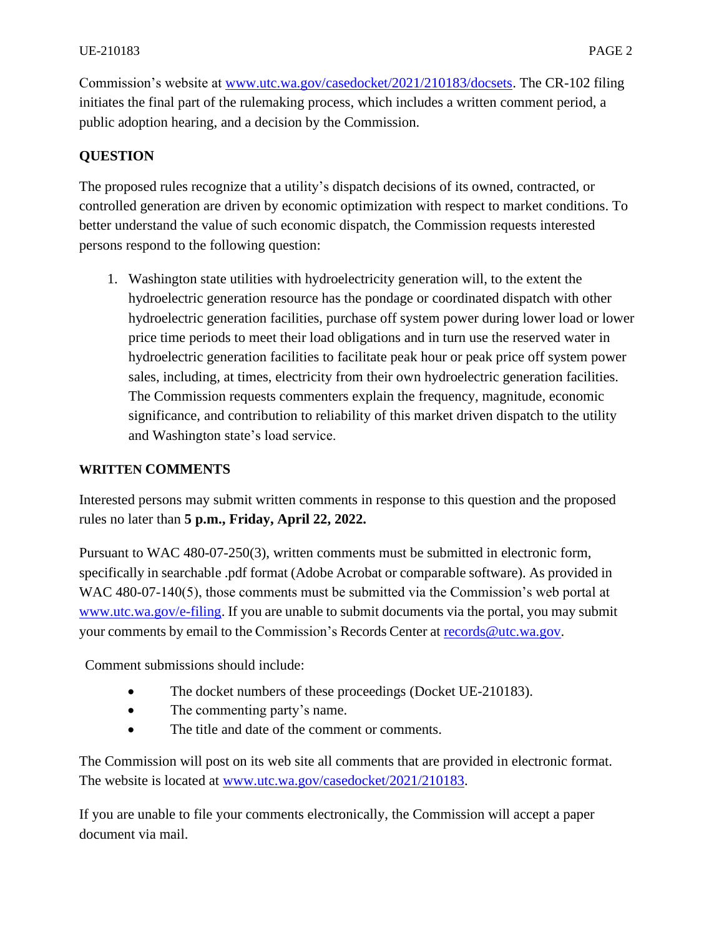Commission's website at [www.utc.wa.gov/casedocket/2021/210183/docsets.](http://www.utc.wa.gov/casedocket/2021/210183/docsets) The CR-102 filing initiates the final part of the rulemaking process, which includes a written comment period, a public adoption hearing, and a decision by the Commission.

## **QUESTION**

The proposed rules recognize that a utility's dispatch decisions of its owned, contracted, or controlled generation are driven by economic optimization with respect to market conditions. To better understand the value of such economic dispatch, the Commission requests interested persons respond to the following question:

1. Washington state utilities with hydroelectricity generation will, to the extent the hydroelectric generation resource has the pondage or coordinated dispatch with other hydroelectric generation facilities, purchase off system power during lower load or lower price time periods to meet their load obligations and in turn use the reserved water in hydroelectric generation facilities to facilitate peak hour or peak price off system power sales, including, at times, electricity from their own hydroelectric generation facilities. The Commission requests commenters explain the frequency, magnitude, economic significance, and contribution to reliability of this market driven dispatch to the utility and Washington state's load service.

#### **WRITTEN COMMENTS**

Interested persons may submit written comments in response to this question and the proposed rules no later than **5 p.m., Friday, April 22, 2022.**

Pursuant to WAC 480-07-250(3), written comments must be submitted in electronic form, specifically in searchable .pdf format (Adobe Acrobat or comparable software). As provided in WAC 480-07-140(5), those comments must be submitted via the Commission's web portal at [www.utc.wa.gov/e-filing.](http://www.utc.wa.gov/e-filing) If you are unable to submit documents via the portal, you may submit your comments by email to the Commission's Records Center at [records@utc.wa.gov.](mailto:records@utc.wa.gov)

Comment submissions should include:

- The docket numbers of these proceedings (Docket UE-210183).
- The commenting party's name.
- The title and date of the comment or comments.

The Commission will post on its web site all comments that are provided in electronic format. The website is located at [www.utc.wa.gov/casedocket/2021/210183.](http://www.utc.wa.gov/casedocket/2021/210183)

If you are unable to file your comments electronically, the Commission will accept a paper document via mail.